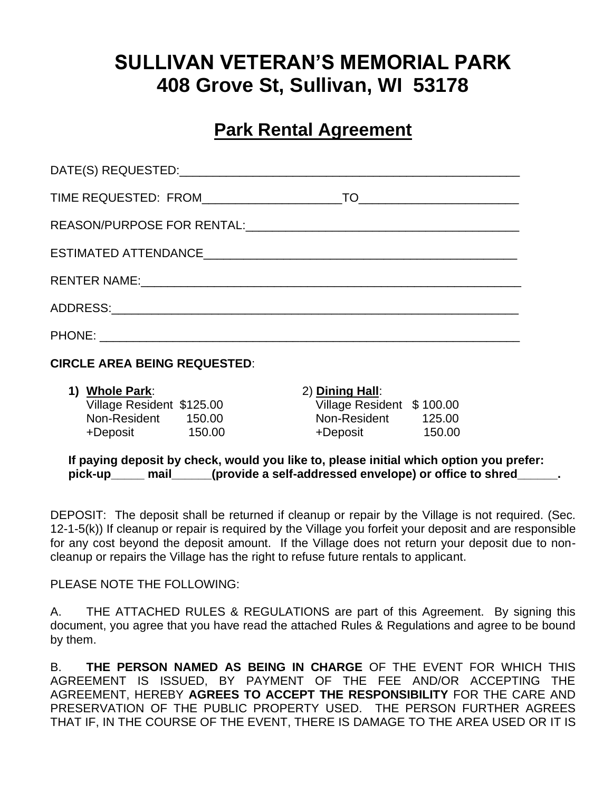# **SULLIVAN VETERAN'S MEMORIAL PARK 408 Grove St, Sullivan, WI 53178**

## **Park Rental Agreement**

| $\begin{picture}(180,10) \put(0,0){\line(1,0){10}} \put(10,0){\line(1,0){10}} \put(10,0){\line(1,0){10}} \put(10,0){\line(1,0){10}} \put(10,0){\line(1,0){10}} \put(10,0){\line(1,0){10}} \put(10,0){\line(1,0){10}} \put(10,0){\line(1,0){10}} \put(10,0){\line(1,0){10}} \put(10,0){\line(1,0){10}} \put(10,0){\line(1,0){10}} \put(10,0){\line($ |
|-----------------------------------------------------------------------------------------------------------------------------------------------------------------------------------------------------------------------------------------------------------------------------------------------------------------------------------------------------|
|                                                                                                                                                                                                                                                                                                                                                     |
|                                                                                                                                                                                                                                                                                                                                                     |
|                                                                                                                                                                                                                                                                                                                                                     |
|                                                                                                                                                                                                                                                                                                                                                     |
|                                                                                                                                                                                                                                                                                                                                                     |

#### **CIRCLE AREA BEING REQUESTED**:

| 1) Whole Park:            |        | 2) Dining Hall:           |        |  |  |  |
|---------------------------|--------|---------------------------|--------|--|--|--|
| Village Resident \$125.00 |        | Village Resident \$100.00 |        |  |  |  |
| Non-Resident              | 150.00 | Non-Resident              | 125.00 |  |  |  |
| +Deposit                  | 150.00 | +Deposit                  | 150.00 |  |  |  |

**If paying deposit by check, would you like to, please initial which option you prefer:** pick-up mail (provide a self-addressed envelope) or office to shred

DEPOSIT: The deposit shall be returned if cleanup or repair by the Village is not required. (Sec. 12-1-5(k)) If cleanup or repair is required by the Village you forfeit your deposit and are responsible for any cost beyond the deposit amount. If the Village does not return your deposit due to noncleanup or repairs the Village has the right to refuse future rentals to applicant.

PLEASE NOTE THE FOLLOWING:

A. THE ATTACHED RULES & REGULATIONS are part of this Agreement. By signing this document, you agree that you have read the attached Rules & Regulations and agree to be bound by them.

B. **THE PERSON NAMED AS BEING IN CHARGE** OF THE EVENT FOR WHICH THIS AGREEMENT IS ISSUED, BY PAYMENT OF THE FEE AND/OR ACCEPTING THE AGREEMENT, HEREBY **AGREES TO ACCEPT THE RESPONSIBILITY** FOR THE CARE AND PRESERVATION OF THE PUBLIC PROPERTY USED. THE PERSON FURTHER AGREES THAT IF, IN THE COURSE OF THE EVENT, THERE IS DAMAGE TO THE AREA USED OR IT IS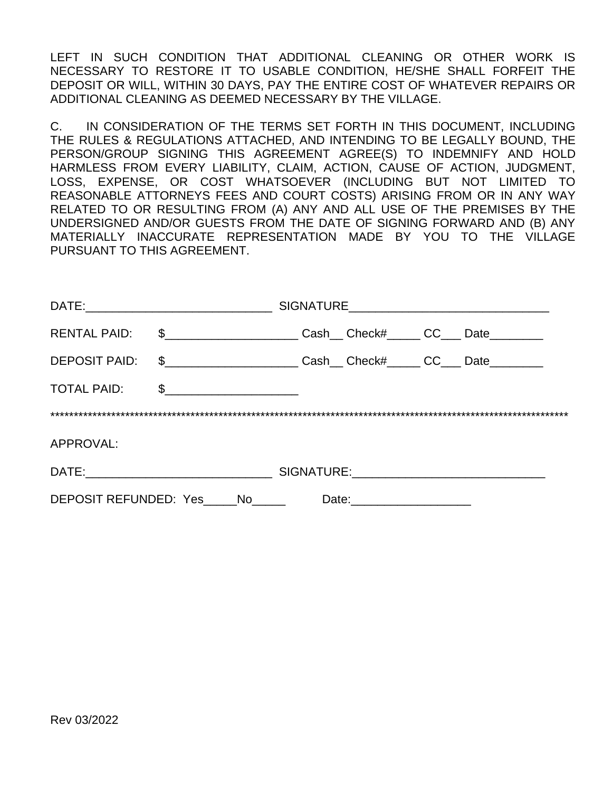LEFT IN SUCH CONDITION THAT ADDITIONAL CLEANING OR OTHER WORK IS NECESSARY TO RESTORE IT TO USABLE CONDITION, HE/SHE SHALL FORFEIT THE DEPOSIT OR WILL, WITHIN 30 DAYS, PAY THE ENTIRE COST OF WHATEVER REPAIRS OR ADDITIONAL CLEANING AS DEEMED NECESSARY BY THE VILLAGE.

C. IN CONSIDERATION OF THE TERMS SET FORTH IN THIS DOCUMENT, INCLUDING THE RULES & REGULATIONS ATTACHED, AND INTENDING TO BE LEGALLY BOUND, THE PERSON/GROUP SIGNING THIS AGREEMENT AGREE(S) TO INDEMNIFY AND HOLD HARMLESS FROM EVERY LIABILITY, CLAIM, ACTION, CAUSE OF ACTION, JUDGMENT, LOSS, EXPENSE, OR COST WHATSOEVER (INCLUDING BUT NOT LIMITED TO REASONABLE ATTORNEYS FEES AND COURT COSTS) ARISING FROM OR IN ANY WAY RELATED TO OR RESULTING FROM (A) ANY AND ALL USE OF THE PREMISES BY THE UNDERSIGNED AND/OR GUESTS FROM THE DATE OF SIGNING FORWARD AND (B) ANY MATERIALLY INACCURATE REPRESENTATION MADE BY YOU TO THE VILLAGE PURSUANT TO THIS AGREEMENT.

| RENTAL PAID:                                        | $\frac{1}{2}$ |  |  |  | Cash_Check#____CC___Date_______ |  |  |
|-----------------------------------------------------|---------------|--|--|--|---------------------------------|--|--|
| <b>DEPOSIT PAID:</b>                                | $\frac{1}{2}$ |  |  |  | Cash Check# CC Date             |  |  |
| <b>TOTAL PAID:</b>                                  | $\frac{1}{2}$ |  |  |  |                                 |  |  |
|                                                     |               |  |  |  |                                 |  |  |
| APPROVAL:                                           |               |  |  |  |                                 |  |  |
|                                                     |               |  |  |  |                                 |  |  |
| DEPOSIT REFUNDED: Yes No<br>Date: _________________ |               |  |  |  |                                 |  |  |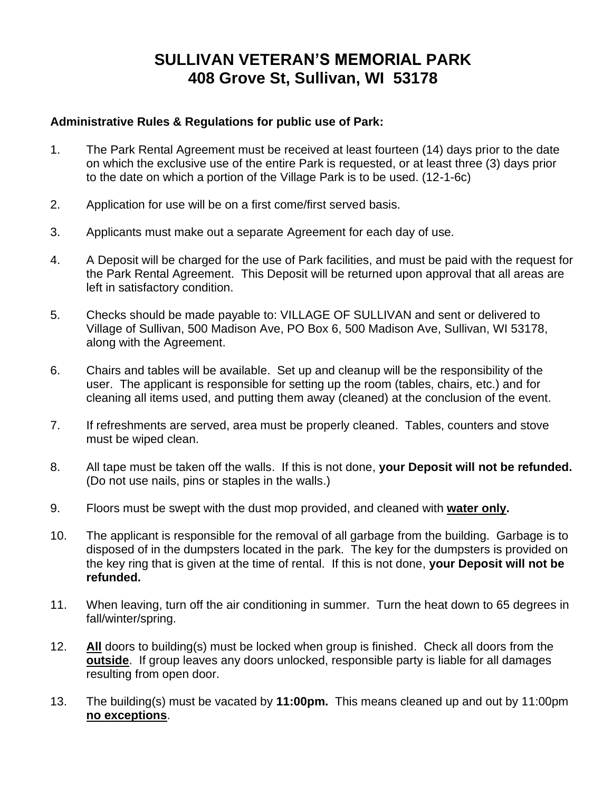### **SULLIVAN VETERAN'S MEMORIAL PARK 408 Grove St, Sullivan, WI 53178**

### **Administrative Rules & Regulations for public use of Park:**

- 1. The Park Rental Agreement must be received at least fourteen (14) days prior to the date on which the exclusive use of the entire Park is requested, or at least three (3) days prior to the date on which a portion of the Village Park is to be used. (12-1-6c)
- 2. Application for use will be on a first come/first served basis.
- 3. Applicants must make out a separate Agreement for each day of use.
- 4. A Deposit will be charged for the use of Park facilities, and must be paid with the request for the Park Rental Agreement. This Deposit will be returned upon approval that all areas are left in satisfactory condition.
- 5. Checks should be made payable to: VILLAGE OF SULLIVAN and sent or delivered to Village of Sullivan, 500 Madison Ave, PO Box 6, 500 Madison Ave, Sullivan, WI 53178, along with the Agreement.
- 6. Chairs and tables will be available. Set up and cleanup will be the responsibility of the user. The applicant is responsible for setting up the room (tables, chairs, etc.) and for cleaning all items used, and putting them away (cleaned) at the conclusion of the event.
- 7. If refreshments are served, area must be properly cleaned. Tables, counters and stove must be wiped clean.
- 8. All tape must be taken off the walls. If this is not done, **your Deposit will not be refunded.** (Do not use nails, pins or staples in the walls.)
- 9. Floors must be swept with the dust mop provided, and cleaned with **water only.**
- 10. The applicant is responsible for the removal of all garbage from the building. Garbage is to disposed of in the dumpsters located in the park. The key for the dumpsters is provided on the key ring that is given at the time of rental. If this is not done, **your Deposit will not be refunded.**
- 11. When leaving, turn off the air conditioning in summer. Turn the heat down to 65 degrees in fall/winter/spring.
- 12. **All** doors to building(s) must be locked when group is finished. Check all doors from the **outside**. If group leaves any doors unlocked, responsible party is liable for all damages resulting from open door.
- 13. The building(s) must be vacated by **11:00pm.** This means cleaned up and out by 11:00pm **no exceptions**.